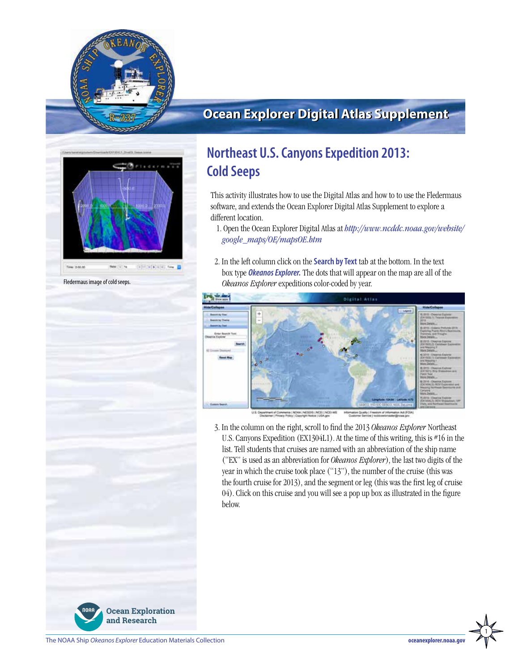

# **Ocean Explorer Digital Atlas Supplement**



Fledermaus image of cold seeps.

# **Northeast U.S. Canyons Expedition 2013: Cold Seeps**

This activity illustrates how to use the Digital Atlas and how to to use the Fledermaus software, and extends the Ocean Explorer Digital Atlas Supplement to explore a different location.

- 1. Open the Ocean Explorer Digital Atlas at *[http://www.ncddc.noaa.gov/website/](http://www.ncddc.noaa.gov/website/google_maps/OE/mapsOE.htm) [google\\_maps/OE/mapsOE.htm](http://www.ncddc.noaa.gov/website/google_maps/OE/mapsOE.htm)*
- 2. In the left column click on the **Search by Text** tab at the bottom. In the text box type *Okeanos Explorer.* The dots that will appear on the map are all of the *Okeanos Explorer* expeditions color-coded by year.



set of Commerce | NGAA | NESCRI) | NGE | NGE<br>mer | Pisano Prilico | Commerci Nellos | LEA ngo **J.S. Ceyarts** 

3. In the column on the right, scroll to find the 2013 *Okeanos Explorer* Northeast U.S. Canyons Expedition (EX1304L1). At the time of this writing, this is #16 in the list. Tell students that cruises are named with an abbreviation of the ship name ("EX" is used as an abbreviation for *Okeanos Explorer*), the last two digits of the year in which the cruise took place ("13"), the number of the cruise (this was the fourth cruise for 2013), and the segment or leg (this was the first leg of cruise 04). Click on this cruise and you will see a pop up box as illustrated in the figure below.





1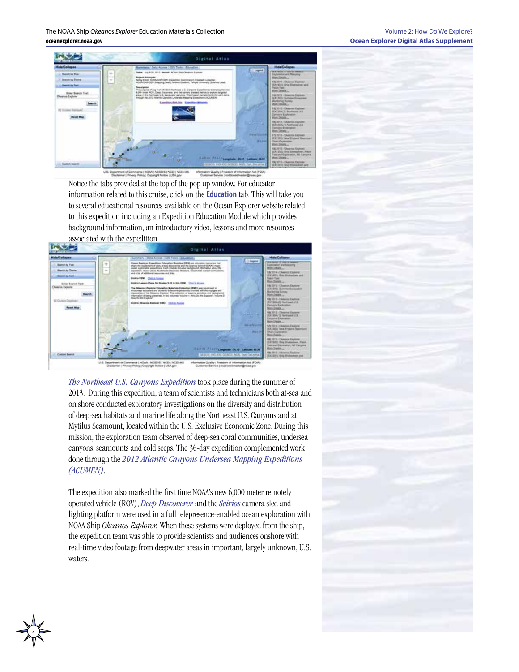The NOAA Ship *Okeanos Explorer* Education Materials Collection **oceanexplorer.noaa.gov**



Notice the tabs provided at the top of the pop up window. For educator information related to this cruise, click on the **Education** tab. This will take you to several educational resources available on the Ocean Explorer website related to this expedition including an Expedition Education Module which provides background information, an introductory video, lessons and more resources associated with the expedition.



*[The Northeast U.S. Canyons Expedition](http://oceanexplorer.noaa.gov/okeanos/explorations/ex1304/welcome.html)* took place during the summer of 2013. During this expedition, a team of scientists and technicians both at-sea and on shore conducted exploratory investigations on the diversity and distribution of deep-sea habitats and marine life along the Northeast U.S. Canyons and at Mytilus Seamount, located within the U.S. Exclusive Economic Zone. During this mission, the exploration team observed of deep-sea coral communities, undersea canyons, seamounts and cold seeps. The 36-day expedition complemented work done through the *[2012 Atlantic Canyons Undersea Mapping Expeditions](http://oceanexplorer.noaa.gov/okeanos/explorations/acumen12/welcome.html)  [\(ACUMEN\)](http://oceanexplorer.noaa.gov/okeanos/explorations/acumen12/welcome.html)*.

The expedition also marked the first time NOAA's new 6,000 meter remotely operated vehicle (ROV), *[Deep Discoverer](http://oceanexplorer.noaa.gov/okeanos/explorations/ex1304/background/plan/media/rov.html)* and the *[Seirios](http://oceanexplorer.noaa.gov/okeanos/explorations/ex1103/logs/slideshow/seirios_parts/flash_slideshow.html)* camera sled and lighting platform were used in a full telepresence-enabled ocean exploration with NOAA Ship *Okeanos Explorer.* When these systems were deployed from the ship, the expedition team was able to provide scientists and audiences onshore with real-time video footage from deepwater areas in important, largely unknown, U.S. waters.

2

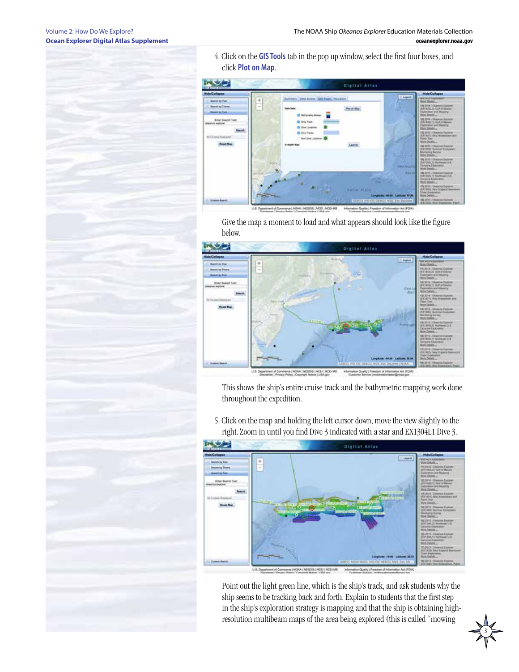4. Click on the **GIS Tools** tab in the pop up window, select the first four boxes, and click **Plot on Map**.



Give the map a moment to load and what appears should look like the figure below.



This shows the ship's entire cruise track and the bathymetric mapping work done throughout the expedition.

**Digital Atlas** GAA (AESOS (NCE) (NCE)AIS

5. Click on the map and holding the left cursor down, move the view slightly to the right. Zoom in until you find Dive 3 indicated with a star and EX1304L1 Dive 3.

Point out the light green line, which is the ship's track, and ask students why the ship seems to be tracking back and forth. Explain to students that the first step in the ship's exploration strategy is mapping and that the ship is obtaining highresolution multibeam maps of the area being explored (this is called "mowing

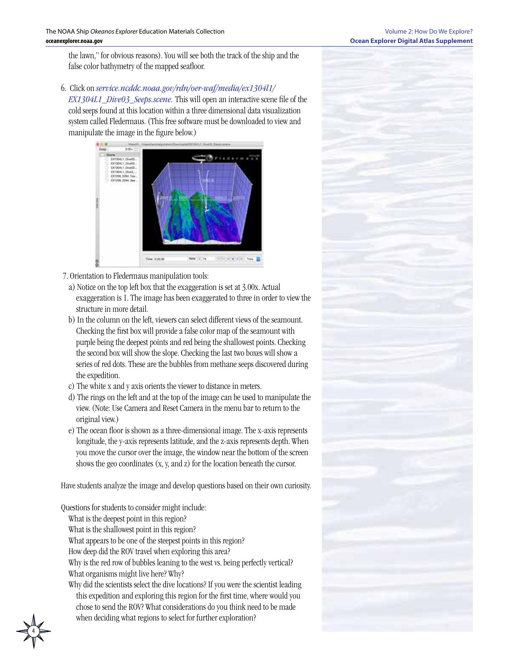#### Volume 2: How Do We Explore? **Ocean Explorer Digital Atlas Supplement**

the lawn," for obvious reasons). You will see both the track of the ship and the false color bathymetry of the mapped seafloor.

6. Click on *[service.ncddc.noaa.gov/rdn/oer-waf/media/ex1304l1/](http://service.ncddc.noaa.gov/rdn/oer-waf/media/ex1304l1/EX1304L1_Dive03_Seeps.scene.)*

*[EX1304L1\\_Dive03\\_Seeps.scene.](http://service.ncddc.noaa.gov/rdn/oer-waf/media/ex1304l1/EX1304L1_Dive03_Seeps.scene.)* This will open an interactive scene file of the cold seeps found at this location within a three dimensional data visualization system called Fledermaus. (This free software must be downloaded to view and manipulate the image in the figure below.)



- 7. Orientation to Fledermaus manipulation tools:
	- a) Notice on the top left box that the exaggeration is set at 3.00x. Actual exaggeration is 1. The image has been exaggerated to three in order to view the structure in more detail.
	- b) In the column on the left, viewers can select different views of the seamount. Checking the first box will provide a false color map of the seamount with purple being the deepest points and red being the shallowest points. Checking the second box will show the slope. Checking the last two boxes will show a series of red dots. These are the bubbles from methane seeps discovered during the expedition.
	- c) The white x and y axis orients the viewer to distance in meters.
	- d) The rings on the left and at the top of the image can be used to manipulate the view. (Note: Use Camera and Reset Camera in the menu bar to return to the original view.)
	- e) The ocean floor is shown as a three-dimensional image. The x-axis represents longitude, the y-axis represents latitude, and the z-axis represents depth. When you move the cursor over the image, the window near the bottom of the screen shows the geo coordinates (x, y, and z) for the location beneath the cursor.

Have students analyze the image and develop questions based on their own curiosity.

Questions for students to consider might include:

- What is the deepest point in this region?
- What is the shallowest point in this region?
- What appears to be one of the steepest points in this region?
- How deep did the ROV travel when exploring this area?
- Why is the red row of bubbles leaning to the west vs. being perfectly vertical? What organisms might live here? Why?
- Why did the scientists select the dive locations? If you were the scientist leading this expedition and exploring this region for the first time, where would you chose to send the ROV? What considerations do you think need to be made when deciding what regions to select for further exploration?